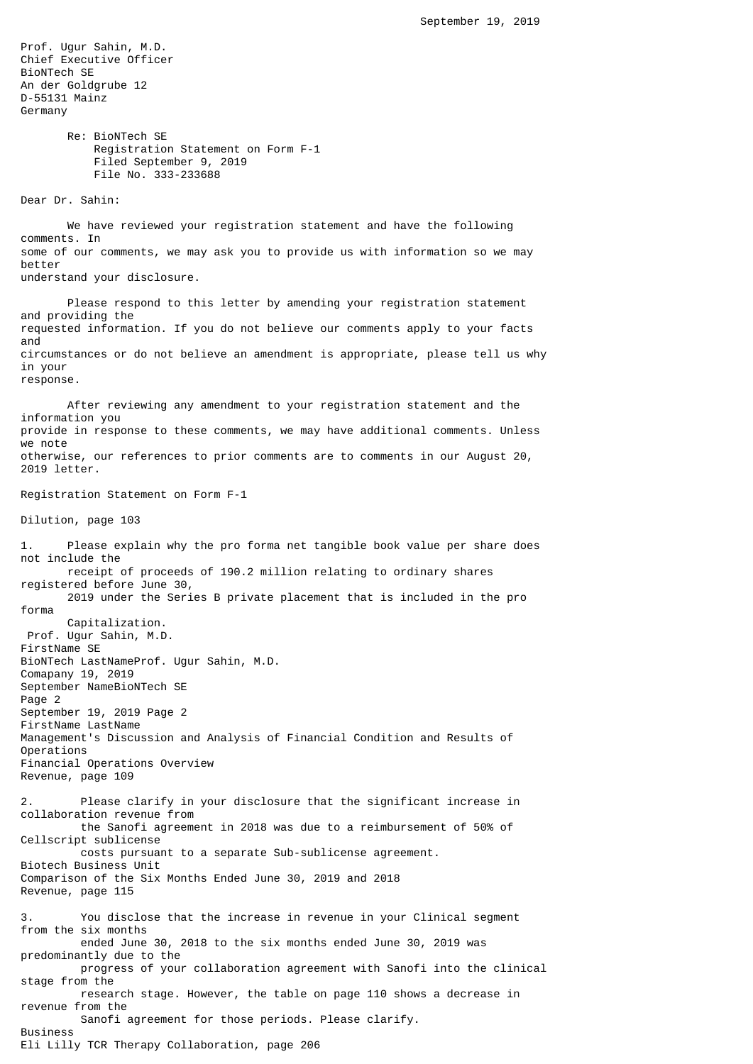Prof. Ugur Sahin, M.D. Chief Executive Officer BioNTech SE An der Goldgrube 12 D-55131 Mainz Germany Re: BioNTech SE Registration Statement on Form F-1 Filed September 9, 2019 File No. 333-233688 Dear Dr. Sahin: We have reviewed your registration statement and have the following comments. In some of our comments, we may ask you to provide us with information so we may better understand your disclosure. Please respond to this letter by amending your registration statement and providing the requested information. If you do not believe our comments apply to your facts and circumstances or do not believe an amendment is appropriate, please tell us why in your response. After reviewing any amendment to your registration statement and the information you provide in response to these comments, we may have additional comments. Unless we note otherwise, our references to prior comments are to comments in our August 20, 2019 letter. Registration Statement on Form F-1 Dilution, page 103 1. Please explain why the pro forma net tangible book value per share does not include the receipt of proceeds of 190.2 million relating to ordinary shares registered before June 30, 2019 under the Series B private placement that is included in the pro forma Capitalization. Prof. Ugur Sahin, M.D. FirstName SE BioNTech LastNameProf. Ugur Sahin, M.D. Comapany 19, 2019 September NameBioNTech SE Page 2 September 19, 2019 Page 2 FirstName LastName Management's Discussion and Analysis of Financial Condition and Results of Operations Financial Operations Overview Revenue, page 109 2. Please clarify in your disclosure that the significant increase in collaboration revenue from the Sanofi agreement in 2018 was due to a reimbursement of 50% of Cellscript sublicense costs pursuant to a separate Sub-sublicense agreement. Biotech Business Unit Comparison of the Six Months Ended June 30, 2019 and 2018 Revenue, page 115 3. You disclose that the increase in revenue in your Clinical segment from the six months ended June 30, 2018 to the six months ended June 30, 2019 was predominantly due to the progress of your collaboration agreement with Sanofi into the clinical stage from the research stage. However, the table on page 110 shows a decrease in revenue from the Sanofi agreement for those periods. Please clarify. Business Eli Lilly TCR Therapy Collaboration, page 206